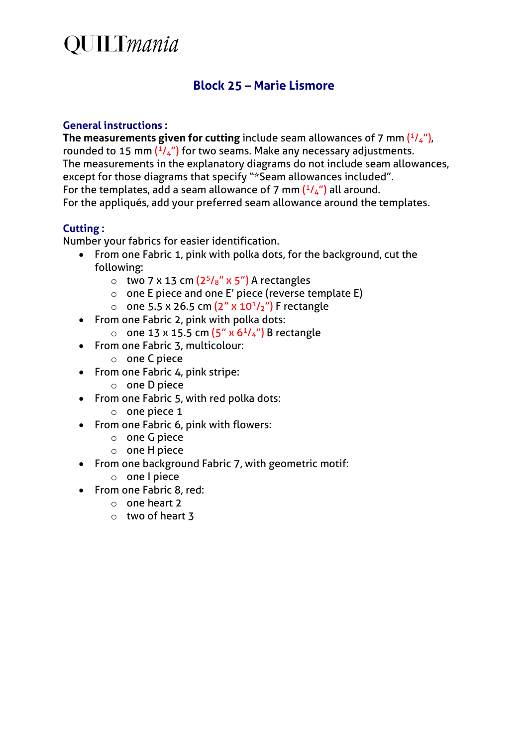## **QUILTmania**

### **Block 25 – Marie Lismore**

#### **General instructions :**

**The measurements given for cutting** include seam allowances of 7 mm  $(^{1}/_{4})$ , rounded to 15 mm  $(^{1}/_{4}$ ") for two seams. Make any necessary adjustments. The measurements in the explanatory diagrams do not include seam allowances, except for those diagrams that specify "\*Seam allowances included". For the templates, add a seam allowance of 7 mm  $(^{1}/_{4}$ ") all around. For the appliqués, add your preferred seam allowance around the templates.

#### **Cutting :**

Number your fabrics for easier identification.

- From one Fabric 1, pink with polka dots, for the background, cut the following:
	- $\circ$  two 7 x 13 cm  $(2^5/s'' \times 5'')$  A rectangles
	- o one E piece and one E' piece (reverse template E)
	- one 5.5 x 26.5 cm  $(2'' \times 10^{1}/2'')$  F rectangle
- From one Fabric 2, pink with polka dots:
	- o one 13 x 15.5 cm  $(5'' \times 6<sup>1</sup>/4'')$  B rectangle
- From one Fabric 3, multicolour:
	- o one C piece
- From one Fabric 4, pink stripe:
	- o one D piece
- From one Fabric 5, with red polka dots:
	- o one piece 1
- From one Fabric 6, pink with flowers:
	- o one G piece
	- o one H piece
- From one background Fabric 7, with geometric motif:
	- o one I piece
- From one Fabric 8, red:
	- o one heart 2
	- o two of heart 3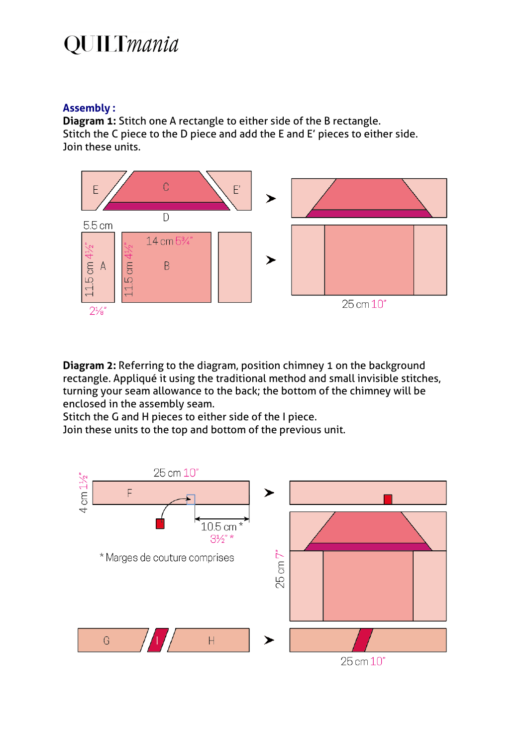## **QUILTmania**

#### **Assembly :**

**Diagram 1:** Stitch one A rectangle to either side of the B rectangle. Stitch the C piece to the D piece and add the E and E' pieces to either side. Join these units.



**Diagram 2:** Referring to the diagram, position chimney 1 on the background rectangle. Appliqué it using the traditional method and small invisible stitches, turning your seam allowance to the back; the bottom of the chimney will be enclosed in the assembly seam.

Stitch the G and H pieces to either side of the I piece.

Join these units to the top and bottom of the previous unit.